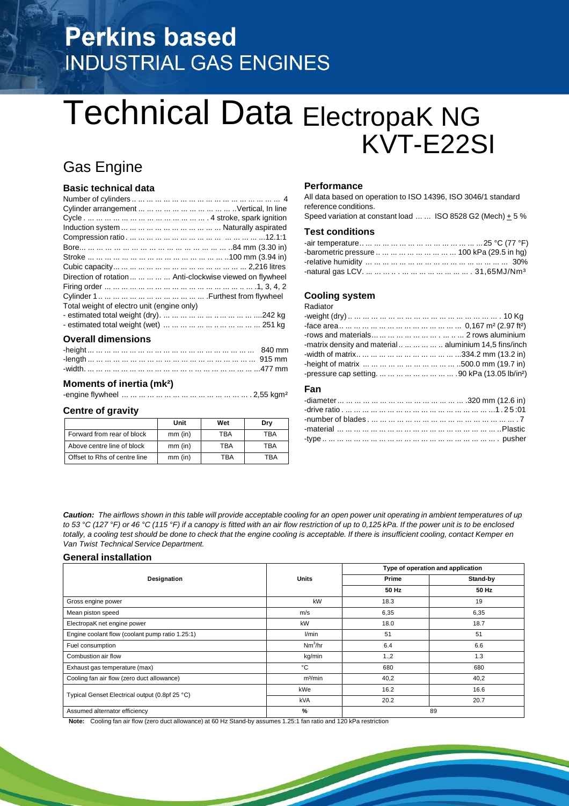# **Perkins based INDUSTRIAL GAS ENGINES**

# Technical Data ElectropaK NG KVT-E22SI

# Gas Engine

# **Basic technical data**

| Direction of rotation      Anti-clockwise viewed on flywheel |  |
|--------------------------------------------------------------|--|
|                                                              |  |
|                                                              |  |
| Total weight of electro unit (engine only)                   |  |
|                                                              |  |
|                                                              |  |
|                                                              |  |

## **Overall dimensions**

## **Moments of inertia (mk²)**

-engine flywheel ... ... ... ... ... ... ... ... ... ... ... ... ... ... ... . 2,55 kgm²

### **Centre of gravity**

|                              | Unit      | Wet | Drv |
|------------------------------|-----------|-----|-----|
| Forward from rear of block   | $mm$ (in) | TBA | TBA |
| Above centre line of block   | $mm$ (in) | TBA | TBA |
| Offset to Rhs of centre line | $mm$ (in) | TRA | TRA |

## **Performance**

All data based on operation to ISO 14396, ISO 3046/1 standard reference conditions.

Speed variation at constant load ... ... ISO 8528 G2 (Mech)  $\pm$  5 %

# **Test conditions**

| -barometric pressure          100 kPa (29.5 in hg) |  |
|----------------------------------------------------|--|
|                                                    |  |
|                                                    |  |

# **Cooling system**

Radiator

| -matrix density and material    aluminium 14,5 fins/inch |  |
|----------------------------------------------------------|--|
|                                                          |  |
|                                                          |  |
|                                                          |  |

# **Fan**

Caution: The airflows shown in this table will provide acceptable cooling for an open power unit operating in ambient temperatures of up to 53 °C (127 °F) or 46 °C (115 °F) if a canopy is fitted with an air flow restriction of up to 0,125 kPa. If the power unit is to be enclosed totally, a cooling test should be done to check that the engine cooling is acceptable. If there is insufficient cooling, contact Kemper en *Van Twist Technical Service Department.*

### **General installation**

| Designation                                     | <b>Units</b>        | Type of operation and application |          |  |
|-------------------------------------------------|---------------------|-----------------------------------|----------|--|
|                                                 |                     | Prime                             | Stand-by |  |
|                                                 |                     | 50 Hz                             | 50 Hz    |  |
| Gross engine power                              | kW                  | 18.3                              | 19       |  |
| Mean piston speed                               | m/s                 | 6,35                              | 6,35     |  |
| ElectropaK net engine power                     | kW                  | 18.0                              | 18.7     |  |
| Engine coolant flow (coolant pump ratio 1.25:1) | l/min               | 51                                | 51       |  |
| Fuel consumption                                | Nm <sup>3</sup> /hr | 6.4                               | 6.6      |  |
| Combustion air flow                             | kg/min              | 1.,2                              | 1.3      |  |
| Exhaust gas temperature (max)                   | °C                  | 680                               | 680      |  |
| Cooling fan air flow (zero duct allowance)      | m <sup>3</sup> /min | 40,2                              | 40,2     |  |
| Typical Genset Electrical output (0.8pf 25 °C)  | kWe                 | 16.2                              | 16.6     |  |
|                                                 | <b>kVA</b>          | 20.2                              | 20.7     |  |
| Assumed alternator efficiency                   | %                   |                                   | 89       |  |

**Note:** Cooling fan air flow (zero duct allowance) at 60 Hz Stand-by assumes 1.25:1 fan ratio and 120 kPa restriction